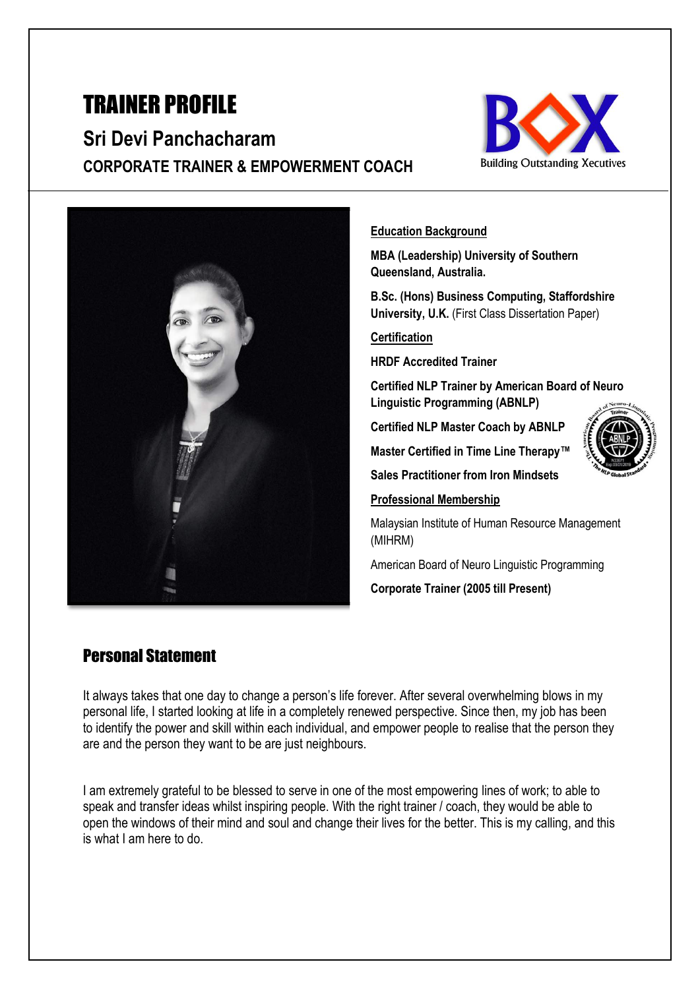# TRAINER PROFILE

**Sri Devi Panchacharam CORPORATE TRAINER & EMPOWERMENT COACH** 





#### **Education Background**

**MBA (Leadership) University of Southern Queensland, Australia.**

**B.Sc. (Hons) Business Computing, Staffordshire University, U.K.** (First Class Dissertation Paper)

**Certification**

**HRDF Accredited Trainer** 

**Certified NLP Trainer by American Board of Neuro Linguistic Programming (ABNLP)**

**Certified NLP Master Coach by ABNLP**

**Master Certified in Time Line Therapy™**



**Sales Practitioner from Iron Mindsets**

#### **Professional Membership**

Malaysian Institute of Human Resource Management (MIHRM)

American Board of Neuro Linguistic Programming

**Corporate Trainer (2005 till Present)**

#### Personal Statement

It always takes that one day to change a person's life forever. After several overwhelming blows in my personal life, I started looking at life in a completely renewed perspective. Since then, my job has been to identify the power and skill within each individual, and empower people to realise that the person they are and the person they want to be are just neighbours.

I am extremely grateful to be blessed to serve in one of the most empowering lines of work; to able to speak and transfer ideas whilst inspiring people. With the right trainer / coach, they would be able to open the windows of their mind and soul and change their lives for the better. This is my calling, and this is what I am here to do.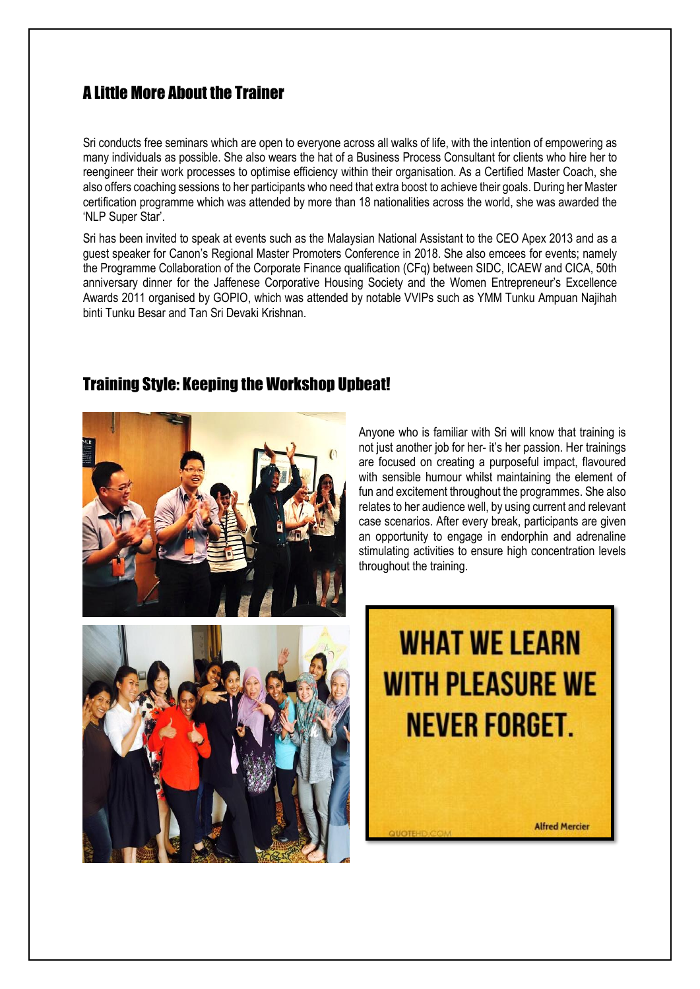## A Little More About the Trainer

Sri conducts free seminars which are open to everyone across all walks of life, with the intention of empowering as many individuals as possible. She also wears the hat of a Business Process Consultant for clients who hire her to reengineer their work processes to optimise efficiency within their organisation. As a Certified Master Coach, she also offers coaching sessions to her participants who need that extra boost to achieve their goals. During her Master certification programme which was attended by more than 18 nationalities across the world, she was awarded the 'NLP Super Star'.

Sri has been invited to speak at events such as the Malaysian National Assistant to the CEO Apex 2013 and as a guest speaker for Canon's Regional Master Promoters Conference in 2018. She also emcees for events; namely the Programme Collaboration of the Corporate Finance qualification (CFq) between SIDC, ICAEW and CICA, 50th anniversary dinner for the Jaffenese Corporative Housing Society and the Women Entrepreneur's Excellence Awards 2011 organised by GOPIO, which was attended by notable VVIPs such as YMM Tunku Ampuan Najihah binti Tunku Besar and Tan Sri Devaki Krishnan.



#### Training Style: Keeping the Workshop Upbeat!

Anyone who is familiar with Sri will know that training is not just another job for her- it's her passion. Her trainings are focused on creating a purposeful impact, flavoured with sensible humour whilst maintaining the element of fun and excitement throughout the programmes. She also relates to her audience well, by using current and relevant case scenarios. After every break, participants are given an opportunity to engage in endorphin and adrenaline stimulating activities to ensure high concentration levels throughout the training.



**Alfred Mercier**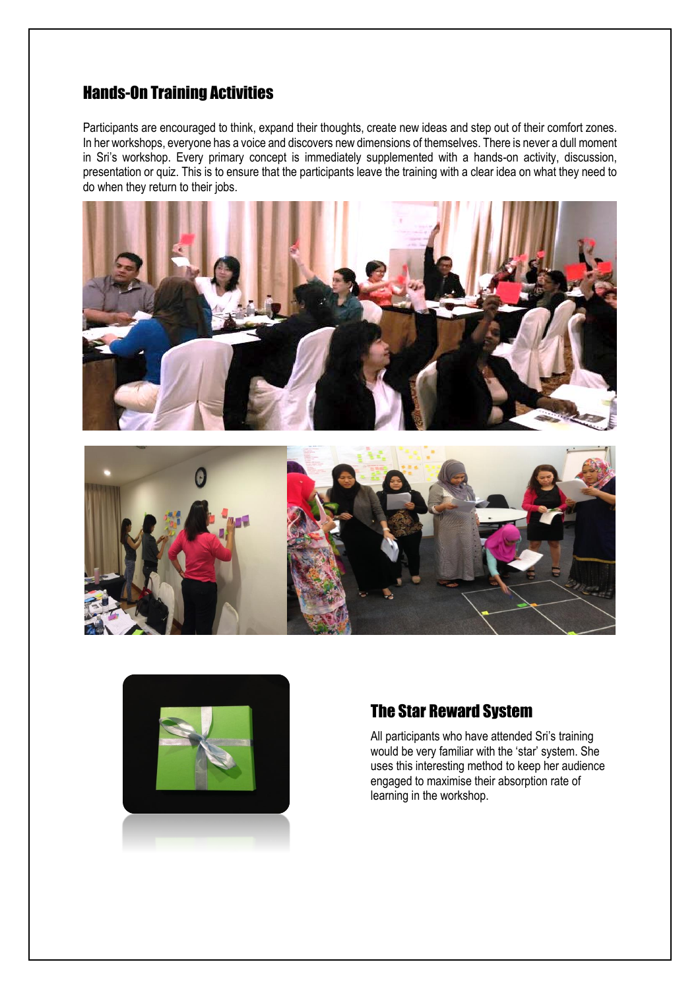## Hands-On Training Activities

Participants are encouraged to think, expand their thoughts, create new ideas and step out of their comfort zones. In her workshops, everyone has a voice and discovers new dimensions of themselves. There is never a dull moment in Sri's workshop. Every primary concept is immediately supplemented with a hands-on activity, discussion, presentation or quiz. This is to ensure that the participants leave the training with a clear idea on what they need to do when they return to their jobs.







#### The Star Reward System

All participants who have attended Sri's training would be very familiar with the 'star' system. She uses this interesting method to keep her audience engaged to maximise their absorption rate of learning in the workshop.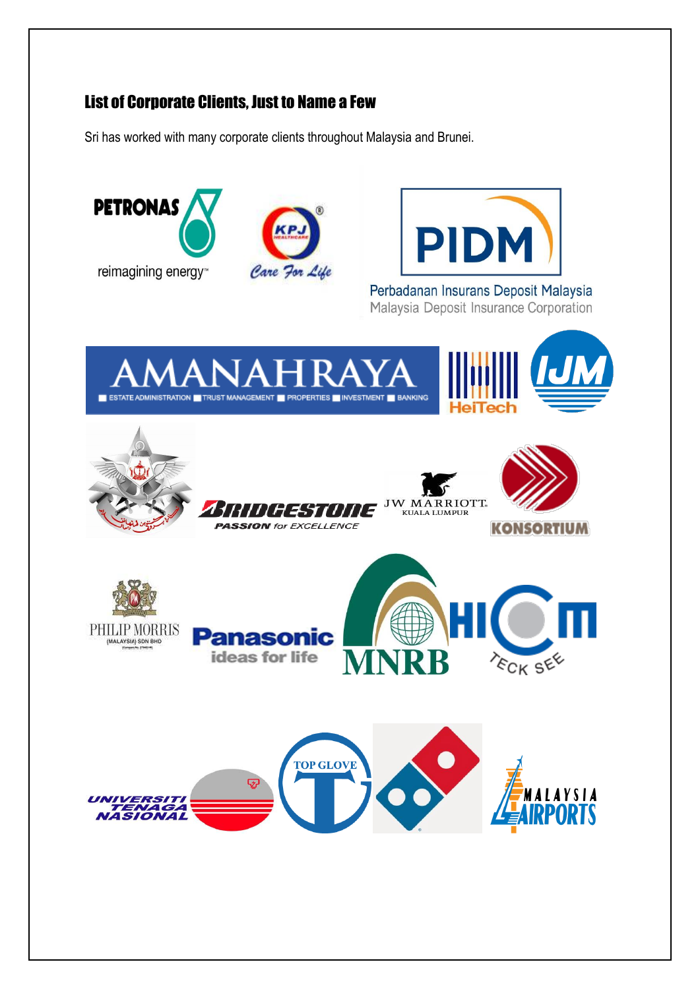## List of Corporate Clients, Just to Name a Few

Sri has worked with many corporate clients throughout Malaysia and Brunei.

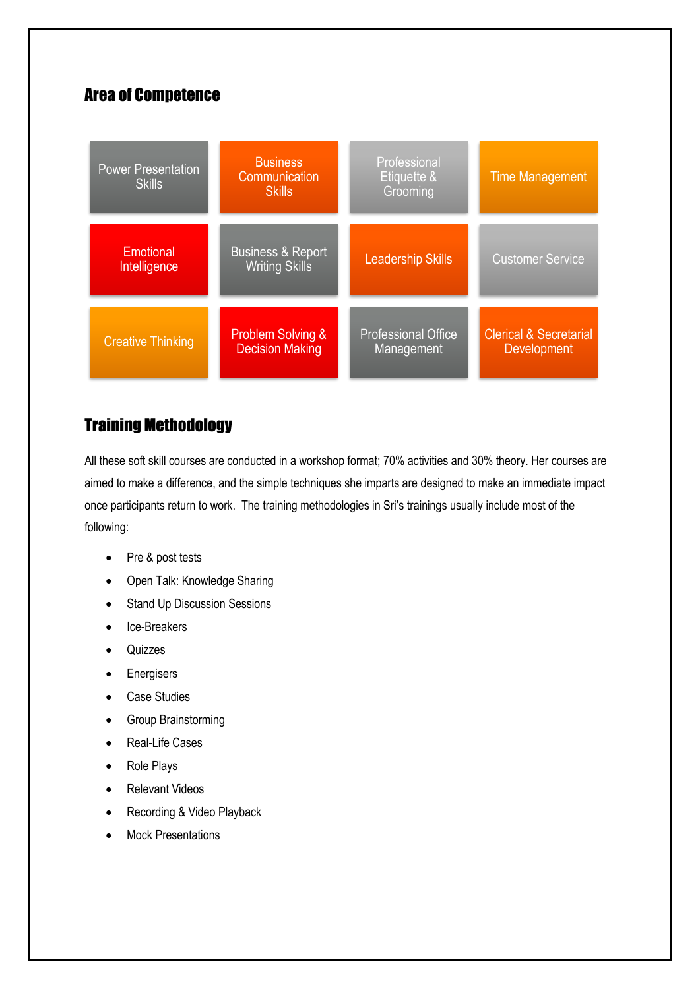## Area of Competence

| <b>Power Presentation</b><br><b>Skills</b> | <b>Business</b><br>Communication<br><b>Skills</b>      | Professional<br>Etiquette &<br>Grooming  | <b>Time Management</b>                                  |
|--------------------------------------------|--------------------------------------------------------|------------------------------------------|---------------------------------------------------------|
| Emotional<br>Intelligence                  | <b>Business &amp; Report</b><br><b>Writing Skills</b>  | <b>Leadership Skills</b>                 | <b>Customer Service</b>                                 |
| <b>Creative Thinking</b>                   | <b>Problem Solving &amp;</b><br><b>Decision Making</b> | <b>Professional Office</b><br>Management | <b>Clerical &amp; Secretarial</b><br><b>Development</b> |

# Training Methodology

All these soft skill courses are conducted in a workshop format; 70% activities and 30% theory. Her courses are aimed to make a difference, and the simple techniques she imparts are designed to make an immediate impact once participants return to work. The training methodologies in Sri's trainings usually include most of the following:

- Pre & post tests
- Open Talk: Knowledge Sharing
- Stand Up Discussion Sessions
- Ice-Breakers
- Quizzes
- Energisers
- Case Studies
- Group Brainstorming
- Real-Life Cases
- Role Plays
- Relevant Videos
- Recording & Video Playback
- Mock Presentations